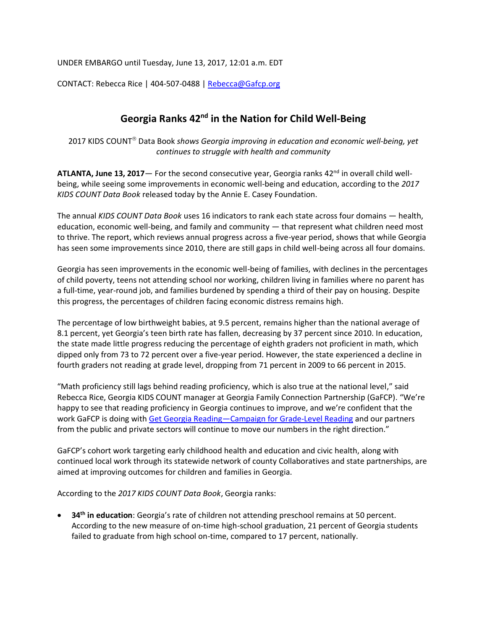UNDER EMBARGO until Tuesday, June 13, 2017, 12:01 a.m. EDT

CONTACT: Rebecca Rice | 404-507-0488 | [Rebecca@Gafcp.org](mailto:Rebecca@Gafcp.org)

## **Georgia Ranks 42nd in the Nation for Child Well-Being**

2017 KIDS COUNT<sup>®</sup> Data Book *shows Georgia improving in education and economic well-being, yet continues to struggle with health and community*

**ATLANTA, June 13, 2017**— For the second consecutive year, Georgia ranks 42<sup>nd</sup> in overall child wellbeing, while seeing some improvements in economic well-being and education, according to the *2017 KIDS COUNT Data Book* released today by the Annie E. Casey Foundation.

The annual *KIDS COUNT Data Book* uses 16 indicators to rank each state across four domains — health, education, economic well-being, and family and community — that represent what children need most to thrive. The report, which reviews annual progress across a five-year period, shows that while Georgia has seen some improvements since 2010, there are still gaps in child well-being across all four domains.

Georgia has seen improvements in the economic well-being of families, with declines in the percentages of child poverty, teens not attending school nor working, children living in families where no parent has a full-time, year-round job, and families burdened by spending a third of their pay on housing. Despite this progress, the percentages of children facing economic distress remains high.

The percentage of low birthweight babies, at 9.5 percent, remains higher than the national average of 8.1 percent, yet Georgia's teen birth rate has fallen, decreasing by 37 percent since 2010. In education, the state made little progress reducing the percentage of eighth graders not proficient in math, which dipped only from 73 to 72 percent over a five-year period. However, the state experienced a decline in fourth graders not reading at grade level, dropping from 71 percent in 2009 to 66 percent in 2015.

"Math proficiency still lags behind reading proficiency, which is also true at the national level," said Rebecca Rice, Georgia KIDS COUNT manager at Georgia Family Connection Partnership (GaFCP). "We're happy to see that reading proficiency in Georgia continues to improve, and we're confident that the work GaFCP is doing with Get Georgia Reading—[Campaign for Grade-Level Reading](http://getgeorgiareading.org/) and our partners from the public and private sectors will continue to move our numbers in the right direction."

GaFCP's cohort work targeting early childhood health and education and civic health, along with continued local work through its statewide network of county Collaboratives and state partnerships, are aimed at improving outcomes for children and families in Georgia.

According to the *2017 KIDS COUNT Data Book*, Georgia ranks:

• **34th in education**: Georgia's rate of children not attending preschool remains at 50 percent. According to the new measure of on-time high-school graduation, 21 percent of Georgia students failed to graduate from high school on-time, compared to 17 percent, nationally.